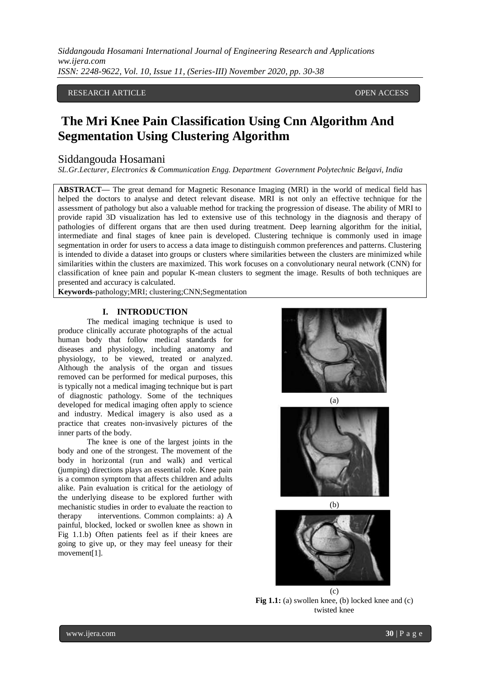RESEARCH ARTICLE **CONTRACT ARTICLE** 

# **The Mri Knee Pain Classification Using Cnn Algorithm And Segmentation Using Clustering Algorithm**

## Siddangouda Hosamani

*SL.Gr.Lecturer, Electronics & Communication Engg. Department Government Polytechnic Belgavi, India*

**ABSTRACT—** The great demand for Magnetic Resonance Imaging (MRI) in the world of medical field has helped the doctors to analyse and detect relevant disease. MRI is not only an effective technique for the assessment of pathology but also a valuable method for tracking the progression of disease. The ability of MRI to provide rapid 3D visualization has led to extensive use of this technology in the diagnosis and therapy of pathologies of different organs that are then used during treatment. Deep learning algorithm for the initial, intermediate and final stages of knee pain is developed. Clustering technique is commonly used in image segmentation in order for users to access a data image to distinguish common preferences and patterns. Clustering is intended to divide a dataset into groups or clusters where similarities between the clusters are minimized while similarities within the clusters are maximized. This work focuses on a convolutionary neural network (CNN) for classification of knee pain and popular K-mean clusters to segment the image. Results of both techniques are presented and accuracy is calculated.

**Keywords-**pathology;MRI; clustering;CNN;Segmentation

### **I. INTRODUCTION**

The medical imaging technique is used to produce clinically accurate photographs of the actual human body that follow medical standards for diseases and physiology, including anatomy and physiology, to be viewed, treated or analyzed. Although the analysis of the organ and tissues removed can be performed for medical purposes, this is typically not a medical imaging technique but is part of diagnostic pathology. Some of the techniques developed for medical imaging often apply to science and industry. Medical imagery is also used as a practice that creates non-invasively pictures of the inner parts of the body.

The knee is one of the largest joints in the body and one of the strongest. The movement of the body in horizontal (run and walk) and vertical (jumping) directions plays an essential role. Knee pain is a common symptom that affects children and adults alike. Pain evaluation is critical for the aetiology of the underlying disease to be explored further with mechanistic studies in order to evaluate the reaction to therapy interventions. Common complaints: a) A painful, blocked, locked or swollen knee as shown in Fig 1.1.b) Often patients feel as if their knees are going to give up, or they may feel uneasy for their movement[1].



(a)



(b)



(c) Fig 1.1: (a) swollen knee, (b) locked knee and (c) twisted knee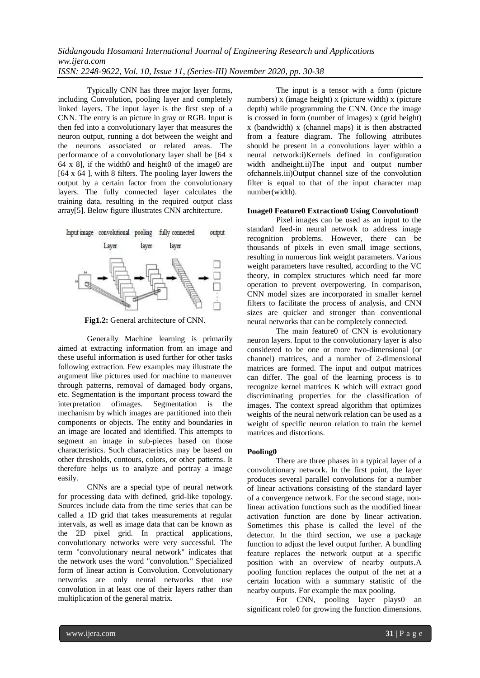Typically CNN has three major layer forms, including Convolution, pooling layer and completely linked layers. The input layer is the first step of a CNN. The entry is an picture in gray or RGB. Input is then fed into a convolutionary layer that measures the neuron output, running a dot between the weight and the neurons associated or related areas. The performance of a convolutionary layer shall be [64 x 64 x 8], if the width0 and height0 of the image0 are [64 x 64 ], with 8 filters. The pooling layer lowers the output by a certain factor from the convolutionary layers. The fully connected layer calculates the training data, resulting in the required output class array[5]. Below figure illustrates CNN architecture.



**Fig1.2:** General architecture of CNN.

Generally Machine learning is primarily aimed at extracting information from an image and these useful information is used further for other tasks following extraction. Few examples may illustrate the argument like pictures used for machine to maneuver through patterns, removal of damaged body organs, etc. Segmentation is the important process toward the interpretation ofimages. Segmentation is the mechanism by which images are partitioned into their components or objects. The entity and boundaries in an image are located and identified. This attempts to segment an image in sub-pieces based on those characteristics. Such characteristics may be based on other thresholds, contours, colors, or other patterns. It therefore helps us to analyze and portray a image easily.

CNNs are a special type of neural network for processing data with defined, grid-like topology. Sources include data from the time series that can be called a 1D grid that takes measurements at regular intervals, as well as image data that can be known as the 2D pixel grid. In practical applications, convolutionary networks were very successful. The term "convolutionary neural network" indicates that the network uses the word "convolution." Specialized form of linear action is Convolution. Convolutionary networks are only neural networks that use convolution in at least one of their layers rather than multiplication of the general matrix.

The input is a tensor with a form (picture numbers) x (image height) x (picture width) x (picture depth) while programming the CNN. Once the image is crossed in form (number of images) x (grid height) x (bandwidth) x (channel maps) it is then abstracted from a feature diagram. The following attributes should be present in a convolutions layer within a neural network:i)Kernels defined in configuration width andheight.ii)The input and output number ofchannels.iii)Output channel size of the convolution filter is equal to that of the input character map number(width).

#### **Image0 Feature0 Extraction0 Using Convolution0**

Pixel images can be used as an input to the standard feed-in neural network to address image recognition problems. However, there can be thousands of pixels in even small image sections, resulting in numerous link weight parameters. Various weight parameters have resulted, according to the VC theory, in complex structures which need far more operation to prevent overpowering. In comparison, CNN model sizes are incorporated in smaller kernel filters to facilitate the process of analysis, and CNN sizes are quicker and stronger than conventional neural networks that can be completely connected.

The main feature0 of CNN is evolutionary neuron layers. Input to the convolutionary layer is also considered to be one or more two-dimensional (or channel) matrices, and a number of 2-dimensional matrices are formed. The input and output matrices can differ. The goal of the learning process is to recognize kernel matrices K which will extract good discriminating properties for the classification of images. The context spread algorithm that optimizes weights of the neural network relation can be used as a weight of specific neuron relation to train the kernel matrices and distortions.

#### **Pooling0**

There are three phases in a typical layer of a convolutionary network. In the first point, the layer produces several parallel convolutions for a number of linear activations consisting of the standard layer of a convergence network. For the second stage, nonlinear activation functions such as the modified linear activation function are done by linear activation. Sometimes this phase is called the level of the detector. In the third section, we use a package function to adjust the level output further. A bundling feature replaces the network output at a specific position with an overview of nearby outputs.A pooling function replaces the output of the net at a certain location with a summary statistic of the nearby outputs. For example the max pooling.

For CNN, pooling layer plays0 an significant role0 for growing the function dimensions.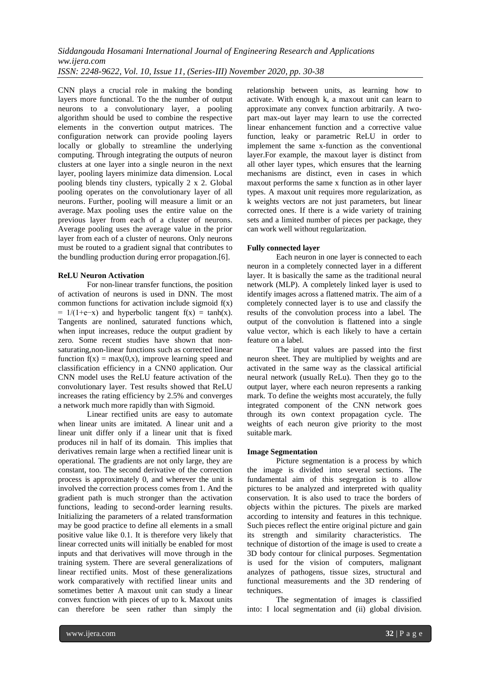CNN plays a crucial role in making the bonding layers more functional. To the the number of output neurons to a convolutionary layer, a pooling algorithm should be used to combine the respective elements in the convertion output matrices. The configuration network can provide pooling layers locally or globally to streamline the underlying computing. Through integrating the outputs of neuron clusters at one layer into a single neuron in the next layer, pooling layers minimize data dimension. Local pooling blends tiny clusters, typically 2 x 2. Global pooling operates on the convolutionary layer of all neurons. Further, pooling will measure a limit or an average. Max pooling uses the entire value on the previous layer from each of a cluster of neurons. Average pooling uses the average value in the prior layer from each of a cluster of neurons. Only neurons must be routed to a gradient signal that contributes to the bundling production during error propagation.[6].

### **ReLU Neuron Activation**

For non-linear transfer functions, the position of activation of neurons is used in DNN. The most common functions for activation include sigmoid  $f(x)$  $= 1/(1+e-x)$  and hyperbolic tangent f(x) = tanh(x). Tangents are nonlined, saturated functions which, when input increases, reduce the output gradient by zero. Some recent studies have shown that nonsaturating,non-linear functions such as corrected linear function  $f(x) = max(0,x)$ , improve learning speed and classification efficiency in a CNN0 application. Our CNN model uses the ReLU feature activation of the convolutionary layer. Test results showed that ReLU increases the rating efficiency by 2.5% and converges a network much more rapidly than with Sigmoid.

Linear rectified units are easy to automate when linear units are imitated. A linear unit and a linear unit differ only if a linear unit that is fixed produces nil in half of its domain. This implies that derivatives remain large when a rectified linear unit is operational. The gradients are not only large, they are constant, too. The second derivative of the correction process is approximately 0, and wherever the unit is involved the correction process comes from 1. And the gradient path is much stronger than the activation functions, leading to second-order learning results. Initializing the parameters of a related transformation may be good practice to define all elements in a small positive value like 0.1. It is therefore very likely that linear corrected units will initially be enabled for most inputs and that derivatives will move through in the training system. There are several generalizations of linear rectified units. Most of these generalizations work comparatively with rectified linear units and sometimes better A maxout unit can study a linear convex function with pieces of up to k. Maxout units can therefore be seen rather than simply the

relationship between units, as learning how to activate. With enough k, a maxout unit can learn to approximate any convex function arbitrarily. A twopart max-out layer may learn to use the corrected linear enhancement function and a corrective value function, leaky or parametric ReLU in order to implement the same x-function as the conventional layer.For example, the maxout layer is distinct from all other layer types, which ensures that the learning mechanisms are distinct, even in cases in which maxout performs the same x function as in other layer types. A maxout unit requires more regularization, as k weights vectors are not just parameters, but linear corrected ones. If there is a wide variety of training sets and a limited number of pieces per package, they can work well without regularization.

## **Fully connected layer**

Each neuron in one layer is connected to each neuron in a completely connected layer in a different layer. It is basically the same as the traditional neural network (MLP). A completely linked layer is used to identify images across a flattened matrix. The aim of a completely connected layer is to use and classify the results of the convolution process into a label. The output of the convolution is flattened into a single value vector, which is each likely to have a certain feature on a label.

The input values are passed into the first neuron sheet. They are multiplied by weights and are activated in the same way as the classical artificial neural network (usually ReLu). Then they go to the output layer, where each neuron represents a ranking mark. To define the weights most accurately, the fully integrated component of the CNN network goes through its own context propagation cycle. The weights of each neuron give priority to the most suitable mark.

#### **Image Segmentation**

Picture segmentation is a process by which the image is divided into several sections. The fundamental aim of this segregation is to allow pictures to be analyzed and interpreted with quality conservation. It is also used to trace the borders of objects within the pictures. The pixels are marked according to intensity and features in this technique. Such pieces reflect the entire original picture and gain its strength and similarity characteristics. The technique of distortion of the image is used to create a 3D body contour for clinical purposes. Segmentation is used for the vision of computers, malignant analyzes of pathogens, tissue sizes, structural and functional measurements and the 3D rendering of techniques.

The segmentation of images is classified into: I local segmentation and (ii) global division.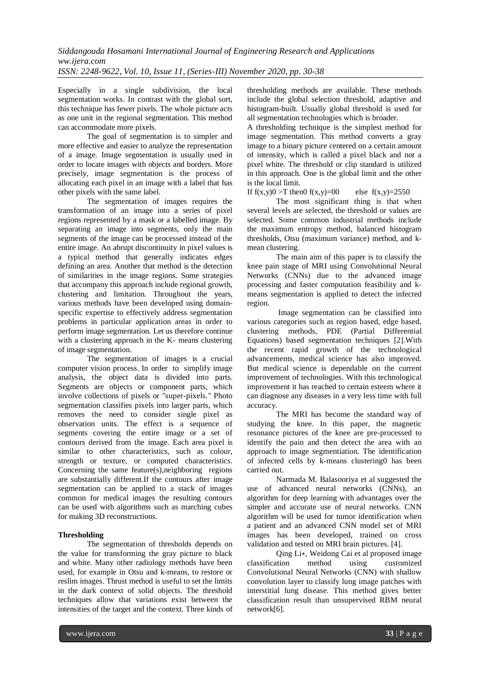Especially in a single subdivision, the local segmentation works. In contrast with the global sort, this technique has fewer pixels. The whole picture acts as one unit in the regional segmentation. This method can accommodate more pixels.

The goal of segmentation is to simpler and more effective and easier to analyze the representation of a image. Image segmentation is usually used in order to locate images with objects and borders. More precisely, image segmentation is the process of allocating each pixel in an image with a label that has other pixels with the same label.

The segmentation of images requires the transformation of an image into a series of pixel regions represented by a mask or a labelled image. By separating an image into segments, only the main segments of the image can be processed instead of the entire image. An abrupt discontinuity in pixel values is a typical method that generally indicates edges defining an area. Another that method is the detection of similarities in the image regions. Some strategies that accompany this approach include regional growth, clustering and limitation. Throughout the years, various methods have been developed using domainspecific expertise to effectively address segmentation problems in particular application areas in order to perform image segmentation. Let us therefore continue with a clustering approach in the K- means clustering of image segmentation.

The segmentation of images is a crucial computer vision process. In order to simplify image analysis, the object data is divided into parts. Segments are objects or component parts, which involve collections of pixels or "super-pixels." Photo segmentation classifies pixels into larger parts, which removes the need to consider single pixel as observation units. The effect is a sequence of segments covering the entire image or a set of contours derived from the image. Each area pixel is similar to other characteristics, such as colour, strength or texture, or computed characteristics. Concerning the same feature(s),neighboring regions are substantially different.If the contours after image segmentation can be applied to a stack of images common for medical images the resulting contours can be used with algorithms such as marching cubes for making 3D reconstructions.

# **Thresholding**

The segmentation of thresholds depends on the value for transforming the gray picture to black and white. Many other radiology methods have been used, for example in Otsu and k-means, to restore or reslim images. Thrust method is useful to set the limits in the dark context of solid objects. The threshold techniques allow that variations exist between the intensities of the target and the context. Three kinds of

thresholding methods are available. These methods include the global selection threshold, adaptive and histogram-built. Usually global threshold is used for all segmentation technologies which is broader.

A thresholding technique is the simplest method for image segmentation. This method converts a gray image to a binary picture centered on a certain amount of intensity, which is called a pixel black and not a pixel white. The threshold or clip standard is utilized in this approach. One is the global limit and the other is the local limit.

If  $f(x,y)0 > T$  then  $f(x,y)=00$  else  $f(x,y)=2550$ 

The most significant thing is that when several levels are selected, the threshold or values are selected. Some common industrial methods include the maximum entropy method, balanced histogram thresholds, Otsu (maximum variance) method, and kmean clustering.

The main aim of this paper is to classify the knee pain stage of MRI using Convolutional Neural Networks (CNNs) due to the advanced image processing and faster computation feasibility and kmeans segmentation is applied to detect the infected region.

Image segmentation can be classified into various categories such as region based, edge based, clustering methods, PDE (Partial Differential Equations) based segmentation techniques [2].With the recent rapid growth of the technological advancements, medical science has also improved. But medical science is dependable on the current improvement of technologies. With this technological improvement it has reached to certain esteem where it can diagnose any diseases in a very less time with full accuracy.

The MRI has become the standard way of studying the knee. In this paper, the magnetic resonance pictures of the knee are pre-processed to identify the pain and then detect the area with an approach to image segmentiation. The identification of infected cells by k-means clustering0 has been carried out.

Narmada M. Balasooriya et al suggested the use of advanced neural networks (CNNs), an algorithm for deep learning with advantages over the simpler and accurate use of neural networks. CNN algorithm will be used for tumor identification when a patient and an advanced CNN model set of MRI images has been developed, trained on cross validation and tested on MRI brain pictures. [4].

Qing Li∗, Weidong Cai et al proposed image classification method using customized Convolutional Neural Networks (CNN) with shallow convolution layer to classify lung image patches with interstitial lung disease. This method gives better classification result than unsupervised RBM neural network[6].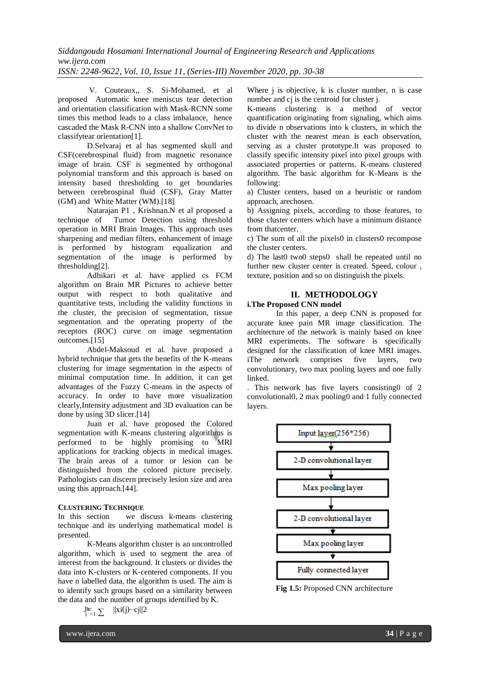# *Siddangouda Hosamani International Journal of Engineering Research and Applications ww.ijera.com*

*ISSN: 2248-9622, Vol. 10, Issue 11, (Series-III) November 2020, pp. 30-38*

V. Couteaux,, S. Si-Mohamed, et al proposed Automatic knee meniscus tear detection and orientation classification with Mask-RCNN some times this method leads to a class imbalance, hence cascaded the Mask R-CNN into a shallow ConvNet to classifytear orientation[1].

D.Selvaraj et al has segmented skull and CSF(cerebrospinal fluid) from magnetic resonance image of brain. CSF is segmented by orthogonal polynomial transform and this approach is based on intensity based thresholding to get boundaries between cerebrospinal fluid (CSF), Gray Matter (GM) and White Matter (WM).[18]

Natarajan P1 , Krishnan.N et al proposed a technique of Tumor Detection using threshold operation in MRI Brain Images. This approach uses sharpening and median filters, enhancement of image is performed by histogram equalization and segmentation of the image is performed by thresholding[2].

Adhikari et al. have applied cs FCM algorithm on Brain MR Pictures to achieve better output with respect to both qualitative and quantitative tests, including the validity functions in the cluster, the precision of segmentation, tissue segmentation and the operating property of the receptors (ROC) curve on image segmentation outcomes.[15]

Abdel-Maksoud et al. have proposed a hybrid technique that gets the benefits of the K-means clustering for image segmentation in the aspects of minimal computation time. In addition, it can get advantages of the Fuzzy C-means in the aspects of accuracy. In order to have more visualization clearly,Intensity adjustment and 3D evaluation can be done by using 3D slicer.[14]

Juan et al. have proposed the Colored segmentation with K-means clustering algorithms is performed to be highly promising to MRI applications for tracking objects in medical images. The brain areas of a tumor or lesion can be distinguished from the colored picture precisely. Pathologists can discern precisely lesion size and area using this approach.[44].

## **CLUSTERING TECHNIQUE**

In this section we discuss k-means clustering technique and its underlying mathematical model is presented.

K-Means algorithm cluster is an uncontrolled algorithm, which is used to segment the area of interest from the background. It clusters or divides the data into K-clusters or K-centered components. If you have n labelled data, the algorithm is used. The aim is to identify such groups based on a similarity between the data and the number of groups identified by K.

> $||xi(j)-cj||2$  $J_{i=1}^{\mathbf{k}} \sum$

www.ijera.com **34** | P a g e

Where *j* is objective, *k* is cluster number, *n* is case number and cj is the centroid for cluster j.

K-means clustering is a method of vector quantification originating from signaling, which aims to divide n observations into k clusters, in which the cluster with the nearest mean is each observation, serving as a cluster prototype.It was proposed to classify specific intensity pixel into pixel groups with associated properties or patterns. K-means clustered algorithm. The basic algorithm for K-Means is the following:

a) Cluster centers, based on a heuristic or random approach, arechosen.

b) Assigning pixels, according to those features, to those cluster centers which have a minimum distance from thatcenter.

c) The sum of all the pixels0 in clusters0 recompose the cluster centers.

d) The last0 two0 steps0 shall be repeated until no further new cluster center is created. Speed, colour , texture, position and so on distinguish the pixels.

# **II. METHODOLOGY**

### **i.The Proposed CNN model**

In this paper, a deep CNN is proposed for accurate knee pain MR image classification. The architecture of the network is mainly based on knee MRI experiments. The software is specifically designed for the classification of knee MRI images. iThe network comprises five layers, two convolutionary, two max pooling layers and one fully linked.

. This network has five layers consisting0 of 2 convolutional0, 2 max pooling0 and 1 fully connected layers.



**Fig 1.5:** Proposed CNN architecture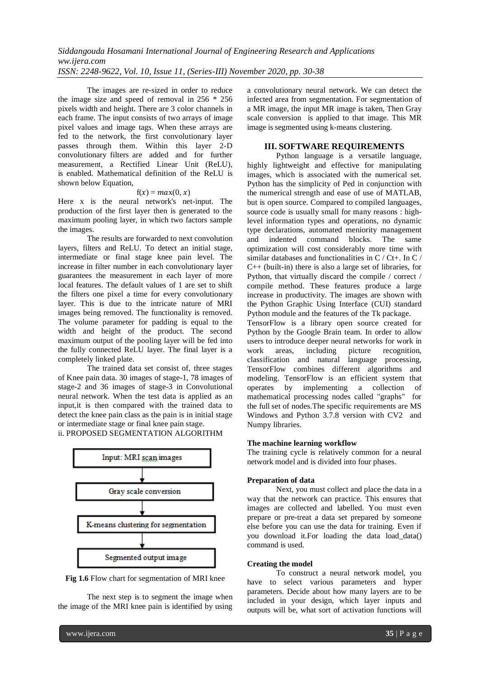The images are re-sized in order to reduce the image size and speed of removal in 256 \* 256 pixels width and height. There are 3 color channels in each frame. The input consists of two arrays of image pixel values and image tags. When these arrays are fed to the network, the first convolutionary layer passes through them. Within this layer 2-D convolutionary filters are added and for further measurement, a Rectified Linear Unit (ReLU), is enabled. Mathematical definition of the ReLU is shown below Equation,

### $f(x) = max(0, x)$

Here x is the neural network's net-input. The production of the first layer then is generated to the maximum pooling layer, in which two factors sample the images.

The results are forwarded to next convolution layers, filters and ReLU. To detect an initial stage, intermediate or final stage knee pain level. The increase in filter number in each convolutionary layer guarantees the measurement in each layer of more local features. The default values of 1 are set to shift the filters one pixel a time for every convolutionary layer. This is due to the intricate nature of MRI images being removed. The functionality is removed. The volume parameter for padding is equal to the width and height of the product. The second maximum output of the pooling layer will be fed into the fully connected ReLU layer. The final layer is a completely linked plate.

The trained data set consist of, three stages of Knee pain data. 30 images of stage-1, 78 images of stage-2 and 36 images of stage-3 in Convolutional neural network. When the test data is applied as an input,it is then compared with the trained data to detect the knee pain class as the pain is in initial stage or intermediate stage or final knee pain stage.

ii. PROPOSED SEGMENTATION ALGORITHM





The next step is to segment the image when the image of the MRI knee pain is identified by using

a convolutionary neural network. We can detect the infected area from segmentation. For segmentation of a MR image, the input MR image is taken, Then Gray scale conversion is applied to that image. This MR image is segmented using k-means clustering.

## **III. SOFTWARE REQUIREMENTS**

Python language is a versatile language, highly lightweight and effective for manipulating images, which is associated with the numerical set. Python has the simplicity of Ped in conjunction with the numerical strength and ease of use of MATLAB, but is open source. Compared to compiled languages, source code is usually small for many reasons : highlevel information types and operations, no dynamic type declarations, automated meniority management and indented command blocks. The same optimization will cost considerably more time with similar databases and functionalities in C / Ct+. In C / C++ (built-in) there is also a large set of libraries, for Python, that virtually discard the compile / correct / compile method. These features produce a large increase in productivity. The images are shown with the Python Graphic Using Interface (CUI) standard Python module and the features of the Tk package.

TensorFlow is a library open source created for Python by the Google Brain team. In order to allow users to introduce deeper neural networks for work in work areas, including picture recognition. work areas, including picture recognition, classification and natural language processing, TensorFlow combines different algorithms and modeling. TensorFlow is an efficient system that operates by implementing a collection of mathematical processing nodes called "graphs" for the full set of nodes.The specific requirements are MS Windows and Python 3.7.8 version with CV2 and Numpy libraries.

## **The machine learning workflow**

The training cycle is relatively common for a neural network model and is divided into four phases.

#### **Preparation of data**

Next, you must collect and place the data in a way that the network can practice. This ensures that images are collected and labelled. You must even prepare or pre-treat a data set prepared by someone else before you can use the data for training. Even if you download it.For loading the data load\_data() command is used.

#### **Creating the model**

To construct a neural network model, you have to select various parameters and hyper parameters. Decide about how many layers are to be included in your design, which layer inputs and outputs will be, what sort of activation functions will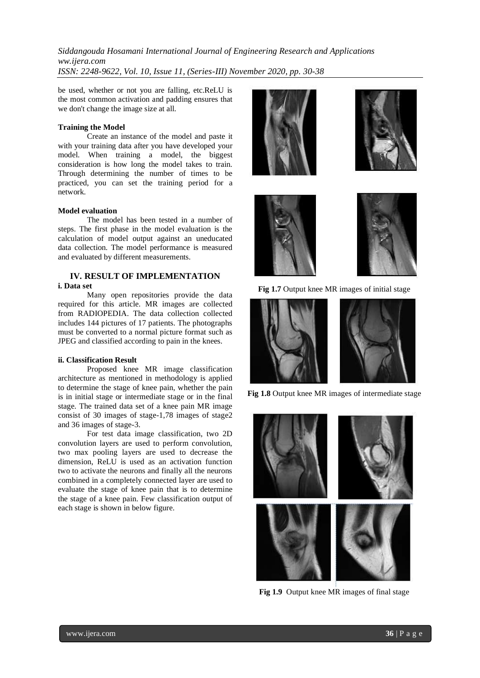be used, whether or not you are falling, etc.ReLU is the most common activation and padding ensures that we don't change the image size at all.

### **Training the Model**

Create an instance of the model and paste it with your training data after you have developed your model. When training a model, the biggest consideration is how long the model takes to train. Through determining the number of times to be practiced, you can set the training period for a network.

#### **Model evaluation**

The model has been tested in a number of steps. The first phase in the model evaluation is the calculation of model output against an uneducated data collection. The model performance is measured and evaluated by different measurements.

# **IV. RESULT OF IMPLEMENTATION**

## **i. Data set**

Many open repositories provide the data required for this article. MR images are collected from RADIOPEDIA. The data collection collected includes 144 pictures of 17 patients. The photographs must be converted to a normal picture format such as JPEG and classified according to pain in the knees.

#### **ii. Classification Result**

Proposed knee MR image classification architecture as mentioned in methodology is applied to determine the stage of knee pain, whether the pain is in initial stage or intermediate stage or in the final stage. The trained data set of a knee pain MR image consist of 30 images of stage-1,78 images of stage2 and 36 images of stage-3.

For test data image classification, two 2D convolution layers are used to perform convolution, two max pooling layers are used to decrease the dimension, ReLU is used as an activation function two to activate the neurons and finally all the neurons combined in a completely connected layer are used to evaluate the stage of knee pain that is to determine the stage of a knee pain. Few classification output of each stage is shown in below figure.









**Fig 1.7** Output knee MR images of initial stage



**Fig 1.8** Output knee MR images of intermediate stage



**Fig 1.9** Output knee MR images of final stage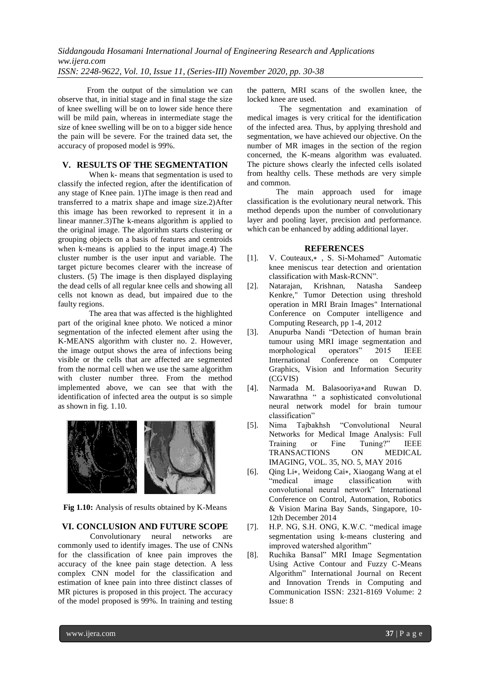From the output of the simulation we can observe that, in initial stage and in final stage the size of knee swelling will be on to lower side hence there will be mild pain, whereas in intermediate stage the size of knee swelling will be on to a bigger side hence the pain will be severe. For the trained data set, the accuracy of proposed model is 99%.

## **V. RESULTS OF THE SEGMENTATION**

When k- means that segmentation is used to classify the infected region, after the identification of any stage of Knee pain. 1)The image is then read and transferred to a matrix shape and image size.2)After this image has been reworked to represent it in a linear manner.3)The k-means algorithm is applied to the original image. The algorithm starts clustering or grouping objects on a basis of features and centroids when k-means is applied to the input image.4) The cluster number is the user input and variable. The target picture becomes clearer with the increase of clusters. (5) The image is then displayed displaying the dead cells of all regular knee cells and showing all cells not known as dead, but impaired due to the faulty regions.

The area that was affected is the highlighted part of the original knee photo. We noticed a minor segmentation of the infected element after using the K-MEANS algorithm with cluster no. 2. However, the image output shows the area of infections being visible or the cells that are affected are segmented from the normal cell when we use the same algorithm with cluster number three. From the method implemented above, we can see that with the identification of infected area the output is so simple as shown in fig. 1.10.



**Fig 1.10:** Analysis of results obtained by K-Means

#### **VI. CONCLUSION AND FUTURE SCOPE**

 Convolutionary neural networks are commonly used to identify images. The use of CNNs for the classification of knee pain improves the accuracy of the knee pain stage detection. A less complex CNN model for the classification and estimation of knee pain into three distinct classes of MR pictures is proposed in this project. The accuracy of the model proposed is 99%. In training and testing

the pattern, MRI scans of the swollen knee, the locked knee are used.

 The segmentation and examination of medical images is very critical for the identification of the infected area. Thus, by applying threshold and segmentation, we have achieved our objective. On the number of MR images in the section of the region concerned, the K-means algorithm was evaluated. The picture shows clearly the infected cells isolated from healthy cells. These methods are very simple and common.

The main approach used for image classification is the evolutionary neural network. This method depends upon the number of convolutionary layer and pooling layer, precision and performance. which can be enhanced by adding additional layer.

#### **REFERENCES**

- [1]. V. Couteaux,∗ , S. Si-Mohamed" Automatic knee meniscus tear detection and orientation classification with Mask-RCNN".
- [2]. Natarajan, Krishnan, Natasha Sandeep Kenkre," Tumor Detection using threshold operation in MRI Brain Images" International Conference on Computer intelligence and Computing Research, pp 1-4, 2012
- [3]. Anupurba Nandi "Detection of human brain tumour using MRI image segmentation and morphological operators" 2015 IEEE International Conference on Computer Graphics, Vision and Information Security (CGVIS)
- [4]. Narmada M. Balasooriya∗and Ruwan D. Nawarathna " a sophisticated convolutional neural network model for brain tumour classification"
- [5]. Nima Tajbakhsh "Convolutional Neural Networks for Medical Image Analysis: Full Training or Fine Tuning?" IEEE TRANSACTIONS ON MEDICAL IMAGING, VOL. 35, NO. 5, MAY 2016
- [6]. Qing Li∗, Weidong Cai∗, Xiaogang Wang at el image classification with convolutional neural network" International Conference on Control, Automation, Robotics & Vision Marina Bay Sands, Singapore, 10- 12th December 2014
- [7]. H.P. NG, S.H. ONG, K.W.C. "medical image segmentation using k-means clustering and improved watershed algorithm"
- [8]. Ruchika Bansal" MRI Image Segmentation Using Active Contour and Fuzzy C-Means Algorithm" International Journal on Recent and Innovation Trends in Computing and Communication ISSN: 2321-8169 Volume: 2 Issue: 8